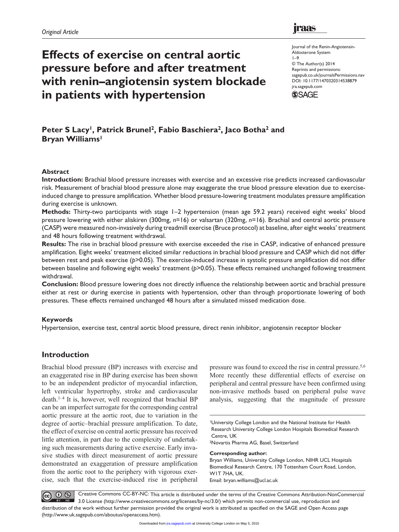# iraas

# **Effects of exercise on central aortic pressure before and after treatment with renin–angiotensin system blockade in patients with hypertension**

Journal of the Renin-Angiotensin-Aldosterone System 1–9 © The Author(s) 2014 Reprints and permissions: sagepub.co.uk/journalsPermissions.nav DOI: 10.1177/1470320314538879 jra.sagepub.com

**SSAGE** 

# Peter S Lacy<sup>1</sup>, Patrick Brunel<sup>2</sup>, Fabio Baschiera<sup>2</sup>, Jaco Botha<sup>2</sup> and **Bryan Williams1**

#### **Abstract**

**Introduction:** Brachial blood pressure increases with exercise and an excessive rise predicts increased cardiovascular risk. Measurement of brachial blood pressure alone may exaggerate the true blood pressure elevation due to exerciseinduced change to pressure amplification. Whether blood pressure-lowering treatment modulates pressure amplification during exercise is unknown.

**Methods:** Thirty-two participants with stage 1–2 hypertension (mean age 59.2 years) received eight weeks' blood pressure lowering with either aliskiren (300mg, *n*=16) or valsartan (320mg, *n*=16). Brachial and central aortic pressure (CASP) were measured non-invasively during treadmill exercise (Bruce protocol) at baseline, after eight weeks' treatment and 48 hours following treatment withdrawal.

**Results:** The rise in brachial blood pressure with exercise exceeded the rise in CASP, indicative of enhanced pressure amplification. Eight weeks' treatment elicited similar reductions in brachial blood pressure and CASP which did not differ between rest and peak exercise (*p*>0.05). The exercise-induced increase in systolic pressure amplification did not differ between baseline and following eight weeks' treatment (*p*>0.05). These effects remained unchanged following treatment withdrawal.

**Conclusion:** Blood pressure lowering does not directly influence the relationship between aortic and brachial pressure either at rest or during exercise in patients with hypertension, other than through proportionate lowering of both pressures. These effects remained unchanged 48 hours after a simulated missed medication dose.

#### **Keywords**

Hypertension, exercise test, central aortic blood pressure, direct renin inhibitor, angiotensin receptor blocker

# **Introduction**

Brachial blood pressure (BP) increases with exercise and an exaggerated rise in BP during exercise has been shown to be an independent predictor of myocardial infarction, left ventricular hypertrophy, stroke and cardiovascular death.1–4 It is, however, well recognized that brachial BP can be an imperfect surrogate for the corresponding central aortic pressure at the aortic root, due to variation in the degree of aortic–brachial pressure amplification. To date, the effect of exercise on central aortic pressure has received little attention, in part due to the complexity of undertaking such measurements during active exercise. Early invasive studies with direct measurement of aortic pressure demonstrated an exaggeration of pressure amplification from the aortic root to the periphery with vigorous exercise, such that the exercise-induced rise in peripheral pressure was found to exceed the rise in central pressure.5,6 More recently these differential effects of exercise on peripheral and central pressure have been confirmed using non-invasive methods based on peripheral pulse wave analysis, suggesting that the magnitude of pressure

1University College London and the National Institute for Health Research University College London Hospitals Biomedical Research Centre, UK

2Novartis Pharma AG, Basel, Switzerland

**Corresponding author:**

Bryan Williams, University College London, NIHR UCL Hospitals Biomedical Research Centre, 170 Tottenham Court Road, London, W1T 7HA, UK.

Email: bryan.williams@ucl.ac.uk

 $\odot$   $\odot$ Creative Commons CC-BY-NC: This article is distributed under the terms of the Creative Commons Attribution-NonCommercial (cc) 3.0 License (http://www.creativecommons.org/licenses/by-nc/3.0/) which permits non-commercial use, reproduction and distribution of the work without further permission provided the original work is attributed as specified on the SAGE and Open Access page (http://www.uk.sagepub.com/aboutus/openaccess.htm).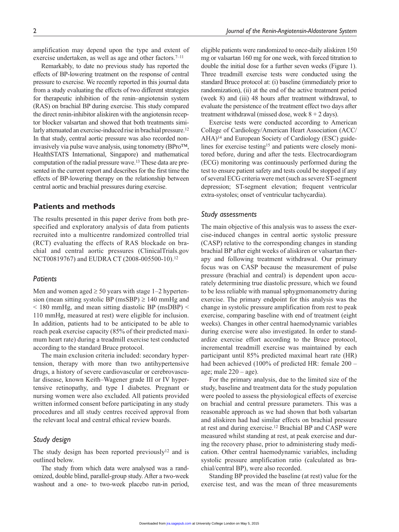amplification may depend upon the type and extent of exercise undertaken, as well as age and other factors.<sup>7–11</sup>

Remarkably, to date no previous study has reported the effects of BP-lowering treatment on the response of central pressure to exercise. We recently reported in this journal data from a study evaluating the effects of two different strategies for therapeutic inhibition of the renin–angiotensin system (RAS) on brachial BP during exercise. This study compared the direct renin-inhibitor aliskiren with the angiotensin receptor blocker valsartan and showed that both treatments similarly attenuated an exercise-induced rise in brachial pressure.12 In that study, central aortic pressure was also recorded noninvasively via pulse wave analysis, using tonometry (BPro™, HealthSTATS International, Singapore) and mathematical computation of the radial pressure wave.13 These data are presented in the current report and describes for the first time the effects of BP-lowering therapy on the relationship between central aortic and brachial pressures during exercise.

### **Patients and methods**

The results presented in this paper derive from both prespecified and exploratory analysis of data from patients recruited into a multicentre randomized controlled trial (RCT) evaluating the effects of RAS blockade on brachial and central aortic pressures (ClinicalTrials.gov NCT00819767) and EUDRA CT (2008-005500-10).12

### *Patients*

Men and women aged  $\geq 50$  years with stage 1–2 hypertension (mean sitting systolic BP (msSBP)  $\geq$  140 mmHg and < 180 mmHg, and mean sitting diastolic BP (msDBP) < 110 mmHg, measured at rest) were eligible for inclusion. In addition, patients had to be anticipated to be able to reach peak exercise capacity (85% of their predicted maximum heart rate) during a treadmill exercise test conducted according to the standard Bruce protocol.

The main exclusion criteria included: secondary hypertension, therapy with more than two antihypertensive drugs, a history of severe cardiovascular or cerebrovascular disease, known Keith–Wagener grade III or IV hypertensive retinopathy, and type I diabetes. Pregnant or nursing women were also excluded. All patients provided written informed consent before participating in any study procedures and all study centres received approval from the relevant local and central ethical review boards.

#### *Study design*

The study design has been reported previously<sup>12</sup> and is outlined below.

The study from which data were analysed was a randomized, double blind, parallel-group study. After a two-week washout and a one- to two-week placebo run-in period, eligible patients were randomized to once-daily aliskiren 150 mg or valsartan 160 mg for one week, with forced titration to double the initial dose for a further seven weeks (Figure 1). Three treadmill exercise tests were conducted using the standard Bruce protocol at: (i) baseline (immediately prior to randomization), (ii) at the end of the active treatment period (week 8) and (iii) 48 hours after treatment withdrawal, to evaluate the persistence of the treatment effect two days after treatment withdrawal (missed dose, week  $8 + 2$  days).

Exercise tests were conducted according to American College of Cardiology/American Heart Association (ACC/ AHA)<sup>14</sup> and European Society of Cardiology (ESC) guidelines for exercise testing<sup>15</sup> and patients were closely monitored before, during and after the tests. Electrocardiogram (ECG) monitoring was continuously performed during the test to ensure patient safety and tests could be stopped if any of several ECG criteria were met (such as severe ST-segment depression; ST-segment elevation; frequent ventricular extra-systoles; onset of ventricular tachycardia).

#### *Study assessments*

The main objective of this analysis was to assess the exercise-induced changes in central aortic systolic pressure (CASP) relative to the corresponding changes in standing brachial BP after eight weeks of aliskiren or valsartan therapy and following treatment withdrawal. Our primary focus was on CASP because the measurement of pulse pressure (brachial and central) is dependent upon accurately determining true diastolic pressure, which we found to be less reliable with manual sphygmomanometry during exercise. The primary endpoint for this analysis was the change in systolic pressure amplification from rest to peak exercise, comparing baseline with end of treatment (eight weeks). Changes in other central haemodynamic variables during exercise were also investigated. In order to standardize exercise effort according to the Bruce protocol, incremental treadmill exercise was maintained by each participant until 85% predicted maximal heart rate (HR) had been achieved (100% of predicted HR: female 200 – age; male 220 – age).

For the primary analysis, due to the limited size of the study, baseline and treatment data for the study population were pooled to assess the physiological effects of exercise on brachial and central pressure parameters. This was a reasonable approach as we had shown that both valsartan and aliskiren had had similar effects on brachial pressure at rest and during exercise.12 Brachial BP and CASP were measured whilst standing at rest, at peak exercise and during the recovery phase, prior to administering study medication. Other central haemodynamic variables, including systolic pressure amplification ratio (calculated as brachial/central BP), were also recorded.

Standing BP provided the baseline (at rest) value for the exercise test, and was the mean of three measurements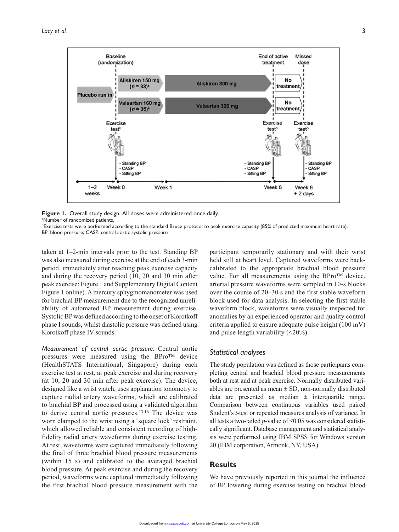

**Figure 1.** Overall study design. All doses were administered once daily. a Number of randomized patients.

**bExercise tests were performed according to the standard Bruce protocol to peak exercise capacity (85% of predicted maximum heart rate).** BP: blood pressure; CASP: central aortic systolic pressure

taken at 1–2-min intervals prior to the test. Standing BP was also measured during exercise at the end of each 3-min period, immediately after reaching peak exercise capacity and during the recovery period (10, 20 and 30 min after peak exercise; Figure 1 and Supplementary Digital Content Figure 1 online). A mercury sphygmomanometer was used for brachial BP measurement due to the recognized unreliability of automated BP measurement during exercise. Systolic BP was defined according to the onset of Korotkoff phase I sounds, whilst diastolic pressure was defined using Korotkoff phase IV sounds.

*Measurement of central aortic pressure.* Central aortic pressures were measured using the BPro™ device (HealthSTATS International, Singapore) during each exercise test at rest, at peak exercise and during recovery (at 10, 20 and 30 min after peak exercise). The device, designed like a wrist watch, uses applanation tonometry to capture radial artery waveforms, which are calibrated to brachial BP and processed using a validated algorithm to derive central aortic pressures.13,16 The device was worn clamped to the wrist using a 'square lock' restraint, which allowed reliable and consistent recording of highfidelity radial artery waveforms during exercise testing. At rest, waveforms were captured immediately following the final of three brachial blood pressure measurements (within 15 s) and calibrated to the averaged brachial blood pressure. At peak exercise and during the recovery period, waveforms were captured immediately following the first brachial blood pressure measurement with the participant temporarily stationary and with their wrist held still at heart level. Captured waveforms were backcalibrated to the appropriate brachial blood pressure value. For all measurements using the BPro™ device, arterial pressure waveforms were sampled in 10-s blocks over the course of 20–30 s and the first stable waveform block used for data analysis. In selecting the first stable waveform block, waveforms were visually inspected for anomalies by an experienced operator and quality control criteria applied to ensure adequate pulse height (100 mV) and pulse length variability  $(\leq 20\%)$ .

#### *Statistical analyses*

The study population was defined as those participants completing central and brachial blood pressure measurements both at rest and at peak exercise. Normally distributed variables are presented as mean  $\pm$  SD, non-normally distributed data are presented as median  $\pm$  interquartile range. Comparison between continuous variables used paired Student's *t*-test or repeated measures analysis of variance. In all tests a two-tailed  $p$ -value of  $\leq 0.05$  was considered statistically significant. Database management and statistical analysis were performed using IBM SPSS for Windows version 20 (IBM corporation, Armonk, NY, USA).

## **Results**

We have previously reported in this journal the influence of BP lowering during exercise testing on brachial blood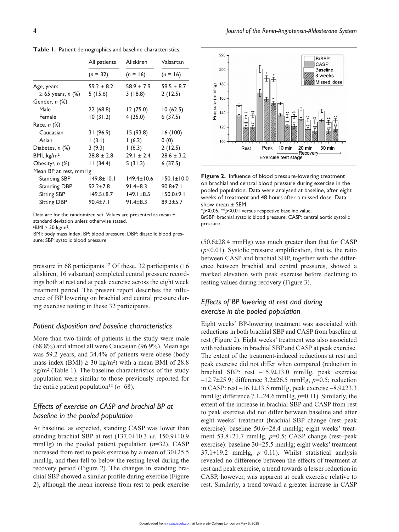|                                | All patients     | Aliskiren        | Valsartan        |
|--------------------------------|------------------|------------------|------------------|
|                                | $(n = 32)$       | $(n = 16)$       | $(n = 16)$       |
| Age, years                     | $59.2 \pm 8.2$   | $58.9 \pm 7.9$   | $59.5 \pm 8.7$   |
| $\geq 65$ years, n (%)         | 5(15.6)          | 3(18.8)          | 2(12.5)          |
| Gender, n (%)                  |                  |                  |                  |
| Male                           | 22 (68.8)        | 12 (75.0)        | 10 (62.5)        |
| Female                         | 10(31.2)         | 4(25.0)          | 6(37.5)          |
| Race, <i>n</i> (%)             |                  |                  |                  |
| Caucasian                      | 31(96.9)         | 15 (93.8)        | 16 (100)         |
| Asian                          | (3.1)            | 1(6.2)           | 0(0)             |
| Diabetes, n (%)                | 3(9.3)           | (6.3)            | 2(12.5)          |
| BMI, $kg/m2$                   | $28.8 \pm 2.8$   | $29.1 \pm 2.4$   | $28.6 \pm 3.2$   |
| Obesity <sup>a</sup> , $n$ (%) | 11(34.4)         | 5(31.3)          | 6(37.5)          |
| Mean BP at rest, mmHg          |                  |                  |                  |
| <b>Standing SBP</b>            | $149.8 \pm 10.1$ | $149.4 \pm 10.6$ | $150.1 \pm 10.0$ |
| <b>Standing DBP</b>            | $92.2 \pm 7.8$   | $91.4 \pm 8.3$   | $90.8 + 7.1$     |
| <b>Sitting SBP</b>             | $149.5 \pm 8.7$  | $149.1 \pm 8.5$  | $150.0 + 9.1$    |
| <b>Sitting DBP</b>             | $90.4 \pm 7.1$   | $91.4 \pm 8.3$   | $89.3 \pm 5.7$   |

**Table 1.** Patient demographics and baseline characteristics.

Data are for the randomized set. Values are presented as mean ± standard deviation unless otherwise stated.

a BMI ≥ 30 kg/m2.

BMI: body mass index; BP: blood pressure; DBP: diastolic blood pressure; SBP: systolic blood pressure

pressure in 68 participants.12 Of these, 32 participants (16 aliskiren, 16 valsartan) completed central pressure recordings both at rest and at peak exercise across the eight week treatment period. The present report describes the influence of BP lowering on brachial and central pressure during exercise testing in these 32 participants.

#### *Patient disposition and baseline characteristics*

More than two-thirds of patients in the study were male (68.8%) and almost all were Caucasian (96.9%). Mean age was 59.2 years, and 34.4% of patients were obese (body mass index (BMI)  $\geq$  30 kg/m<sup>2</sup>) with a mean BMI of 28.8 kg/m2 (Table 1). The baseline characteristics of the study population were similar to those previously reported for the entire patient population<sup>12</sup> ( $n=68$ ).

# *Effects of exercise on CASP and brachial BP at baseline in the pooled population*

At baseline, as expected, standing CASP was lower than standing brachial SBP at rest (137.0±10.3 *vs*. 150.9±10.9 mmHg) in the pooled patient population (*n*=32). CASP increased from rest to peak exercise by a mean of 30±25.5 mmHg, and then fell to below the resting level during the recovery period (Figure 2). The changes in standing brachial SBP showed a similar profile during exercise (Figure 2), although the mean increase from rest to peak exercise



**Figure 2.** Influence of blood pressure-lowering treatment on brachial and central blood pressure during exercise in the pooled population. Data were analysed at baseline, after eight weeks of treatment and 48 hours after a missed dose. Data show mean ± SEM.

\**p*<0.05, \*\**p*<0.01 versus respective baseline value. BrSBP: brachial systolic blood pressure; CASP: central aortic systolic pressure

(50.6±28.4 mmHg) was much greater than that for CASP  $(p<0.01)$ . Systolic pressure amplification, that is, the ratio between CASP and brachial SBP, together with the difference between brachial and central pressures, showed a marked elevation with peak exercise before declining to resting values during recovery (Figure 3).

# *Effects of BP lowering at rest and during exercise in the pooled population*

Eight weeks' BP-lowering treatment was associated with reductions in both brachial SBP and CASP from baseline at rest (Figure 2). Eight weeks' treatment was also associated with reductions in brachial SBP and CASP at peak exercise. The extent of the treatment-induced reductions at rest and peak exercise did not differ when compared (reduction in brachial SBP: rest –15.9±13.0 mmHg, peak exercise –12.7±25.9; difference 3.2±26.5 mmHg, *p*=0.5; reduction in CASP: rest –16.1 $\pm$ 13.5 mmHg, peak exercise –8.9 $\pm$ 23.3 mmHg; difference 7.1 $\pm$ 24.6 mmHg, *p*=0.11). Similarly, the extent of the increase in brachial SBP and CASP from rest to peak exercise did not differ between baseline and after eight weeks' treatment (brachial SBP change (rest–peak exercise): baseline 50.6±28.4 mmHg; eight weeks' treatment 53.8±21.7 mmHg, *p*=0.5; CASP change (rest–peak exercise): baseline 30±25.5 mmHg; eight weeks' treatment 37.1±19.2 mmHg, *p*=0.11). Whilst statistical analysis revealed no difference between the effects of treatment at rest and peak exercise, a trend towards a lesser reduction in CASP, however, was apparent at peak exercise relative to rest. Similarly, a trend toward a greater increase in CASP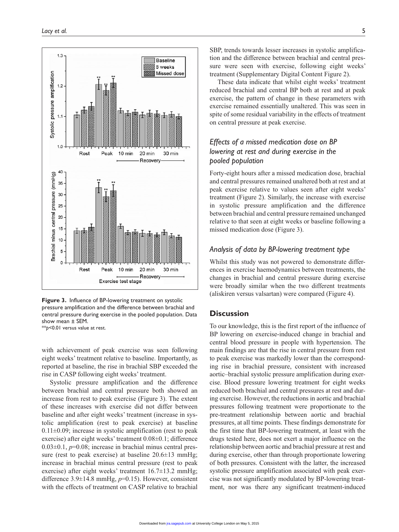

**Figure 3.** Influence of BP-lowering treatment on systolic pressure amplification and the difference between brachial and central pressure during exercise in the pooled population. Data show mean ± SEM.

\*\**p*<0.01 versus value at rest.

with achievement of peak exercise was seen following eight weeks' treatment relative to baseline. Importantly, as reported at baseline, the rise in brachial SBP exceeded the rise in CASP following eight weeks' treatment.

Systolic pressure amplification and the difference between brachial and central pressure both showed an increase from rest to peak exercise (Figure 3). The extent of these increases with exercise did not differ between baseline and after eight weeks' treatment (increase in systolic amplification (rest to peak exercise) at baseline  $0.11\pm0.09$ ; increase in systolic amplification (rest to peak exercise) after eight weeks' treatment 0.08±0.1; difference  $0.03\pm0.1$ ,  $p=0.08$ ; increase in brachial minus central pressure (rest to peak exercise) at baseline  $20.6\pm13$  mmHg; increase in brachial minus central pressure (rest to peak exercise) after eight weeks' treatment 16.7±13.2 mmHg; difference 3.9±14.8 mmHg, *p*=0.15). However, consistent with the effects of treatment on CASP relative to brachial

SBP, trends towards lesser increases in systolic amplification and the difference between brachial and central pressure were seen with exercise, following eight weeks' treatment (Supplementary Digital Content Figure 2).

These data indicate that whilst eight weeks' treatment reduced brachial and central BP both at rest and at peak exercise, the pattern of change in these parameters with exercise remained essentially unaltered. This was seen in spite of some residual variability in the effects of treatment on central pressure at peak exercise.

# *Effects of a missed medication dose on BP lowering at rest and during exercise in the pooled population*

Forty-eight hours after a missed medication dose, brachial and central pressures remained unaltered both at rest and at peak exercise relative to values seen after eight weeks' treatment (Figure 2). Similarly, the increase with exercise in systolic pressure amplification and the difference between brachial and central pressure remained unchanged relative to that seen at eight weeks or baseline following a missed medication dose (Figure 3).

### *Analysis of data by BP-lowering treatment type*

Whilst this study was not powered to demonstrate differences in exercise haemodynamics between treatments, the changes in brachial and central pressure during exercise were broadly similar when the two different treatments (aliskiren versus valsartan) were compared (Figure 4).

### **Discussion**

To our knowledge, this is the first report of the influence of BP lowering on exercise-induced change in brachial and central blood pressure in people with hypertension. The main findings are that the rise in central pressure from rest to peak exercise was markedly lower than the corresponding rise in brachial pressure, consistent with increased aortic–brachial systolic pressure amplification during exercise. Blood pressure lowering treatment for eight weeks reduced both brachial and central pressures at rest and during exercise. However, the reductions in aortic and brachial pressures following treatment were proportionate to the pre-treatment relationship between aortic and brachial pressures, at all time points. These findings demonstrate for the first time that BP-lowering treatment, at least with the drugs tested here, does not exert a major influence on the relationship between aortic and brachial pressure at rest and during exercise, other than through proportionate lowering of both pressures. Consistent with the latter, the increased systolic pressure amplification associated with peak exercise was not significantly modulated by BP-lowering treatment, nor was there any significant treatment-induced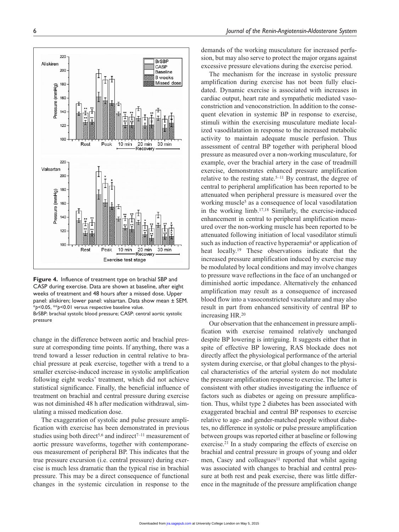

**Figure 4.** Influence of treatment type on brachial SBP and CASP during exercise. Data are shown at baseline, after eight weeks of treatment and 48 hours after a missed dose. Upper panel: aliskiren; lower panel: valsartan. Data show mean ± SEM. \**p*<0.05, \*\**p*<0.01 versus respective baseline value. BrSBP: brachial systolic blood pressure; CASP: central aortic systolic pressure

change in the difference between aortic and brachial pressure at corresponding time points. If anything, there was a trend toward a lesser reduction in central relative to brachial pressure at peak exercise, together with a trend to a smaller exercise-induced increase in systolic amplification following eight weeks' treatment, which did not achieve statistical significance. Finally, the beneficial influence of treatment on brachial and central pressure during exercise was not diminished 48 h after medication withdrawal, simulating a missed medication dose.

The exaggeration of systolic and pulse pressure amplification with exercise has been demonstrated in previous studies using both direct<sup>5,6</sup> and indirect<sup> $7-11$ </sup> measurement of aortic pressure waveforms, together with contemporaneous measurement of peripheral BP. This indicates that the true pressure excursion (i.e. central pressure) during exercise is much less dramatic than the typical rise in brachial pressure. This may be a direct consequence of functional changes in the systemic circulation in response to the

demands of the working musculature for increased perfusion, but may also serve to protect the major organs against excessive pressure elevations during the exercise period.

The mechanism for the increase in systolic pressure amplification during exercise has not been fully elucidated. Dynamic exercise is associated with increases in cardiac output, heart rate and sympathetic mediated vasoconstriction and venoconstriction. In addition to the consequent elevation in systemic BP in response to exercise, stimuli within the exercising musculature mediate localized vasodilatation in response to the increased metabolic activity to maintain adequate muscle perfusion. Thus assessment of central BP together with peripheral blood pressure as measured over a non-working musculature, for example, over the brachial artery in the case of treadmill exercise, demonstrates enhanced pressure amplification relative to the resting state.<sup>5–11</sup> By contrast, the degree of central to peripheral amplification has been reported to be attenuated when peripheral pressure is measured over the working muscle<sup>5</sup> as a consequence of local vasodilatation in the working limb.17,18 Similarly, the exercise-induced enhancement in central to peripheral amplification measured over the non-working muscle has been reported to be attenuated following initiation of local vasodilator stimuli such as induction of reactive hyperaemia<sup>6</sup> or application of heat locally.19 These observations indicate that the increased pressure amplification induced by exercise may be modulated by local conditions and may involve changes to pressure wave reflections in the face of an unchanged or diminished aortic impedance. Alternatively the enhanced amplification may result as a consequence of increased blood flow into a vasoconstricted vasculature and may also result in part from enhanced sensitivity of central BP to increasing HR.20

Our observation that the enhancement in pressure amplification with exercise remained relatively unchanged despite BP lowering is intriguing. It suggests either that in spite of effective BP lowering, RAS blockade does not directly affect the physiological performance of the arterial system during exercise, or that global changes to the physical characteristics of the arterial system do not modulate the pressure amplification response to exercise. The latter is consistent with other studies investigating the influence of factors such as diabetes or ageing on pressure amplification. Thus, whilst type 2 diabetes has been associated with exaggerated brachial and central BP responses to exercise relative to age- and gender-matched people without diabetes, no difference in systolic or pulse pressure amplification between groups was reported either at baseline or following exercise.21 In a study comparing the effects of exercise on brachial and central pressure in groups of young and older men, Casey and colleagues $11$  reported that whilst ageing was associated with changes to brachial and central pressure at both rest and peak exercise, there was little difference in the magnitude of the pressure amplification change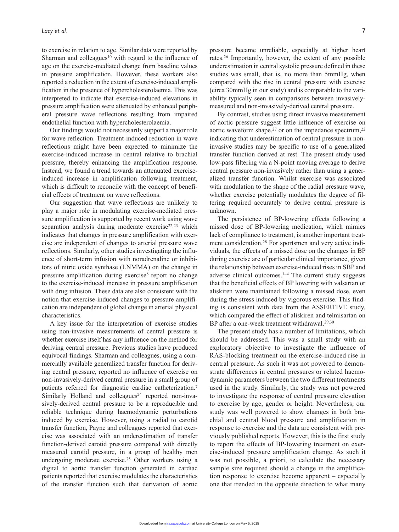to exercise in relation to age. Similar data were reported by Sharman and colleagues<sup>10</sup> with regard to the influence of age on the exercise-mediated change from baseline values in pressure amplification. However, these workers also reported a reduction in the extent of exercise-induced amplification in the presence of hypercholesterolaemia. This was interpreted to indicate that exercise-induced elevations in pressure amplification were attenuated by enhanced peripheral pressure wave reflections resulting from impaired endothelial function with hypercholesterolaemia.

Our findings would not necessarily support a major role for wave reflection. Treatment-induced reduction in wave reflections might have been expected to minimize the exercise-induced increase in central relative to brachial pressure, thereby enhancing the amplification response. Instead, we found a trend towards an attenuated exerciseinduced increase in amplification following treatment, which is difficult to reconcile with the concept of beneficial effects of treatment on wave reflections.

Our suggestion that wave reflections are unlikely to play a major role in modulating exercise-mediated pressure amplification is supported by recent work using wave separation analysis during moderate exercise $22,23$  which indicates that changes in pressure amplification with exercise are independent of changes to arterial pressure wave reflections. Similarly, other studies investigating the influence of short-term infusion with noradrenaline or inhibitors of nitric oxide synthase (LNMMA) on the change in pressure amplification during exercise<sup>8</sup> report no change to the exercise-induced increase in pressure amplification with drug infusion. These data are also consistent with the notion that exercise-induced changes to pressure amplification are independent of global change in arterial physical characteristics.

A key issue for the interpretation of exercise studies using non-invasive measurements of central pressure is whether exercise itself has any influence on the method for deriving central pressure. Previous studies have produced equivocal findings. Sharman and colleagues, using a commercially available generalized transfer function for deriving central pressure, reported no influence of exercise on non-invasively-derived central pressure in a small group of patients referred for diagnostic cardiac catheterization.7 Similarly Holland and colleagues<sup>24</sup> reported non-invasively-derived central pressure to be a reproducible and reliable technique during haemodynamic perturbations induced by exercise. However, using a radial to carotid transfer function, Payne and colleagues reported that exercise was associated with an underestimation of transfer function-derived carotid pressure compared with directly measured carotid pressure, in a group of healthy men undergoing moderate exercise.25 Other workers using a digital to aortic transfer function generated in cardiac patients reported that exercise modulates the characteristics of the transfer function such that derivation of aortic

pressure became unreliable, especially at higher heart rates.26 Importantly, however, the extent of any possible underestimation in central systolic pressure defined in these studies was small, that is, no more than 5mmHg, when compared with the rise in central pressure with exercise (circa 30mmHg in our study) and is comparable to the variability typically seen in comparisons between invasivelymeasured and non-invasively-derived central pressure.

By contrast, studies using direct invasive measurement of aortic pressure suggest little influence of exercise on aortic waveform shape, $27$  or on the impedance spectrum, $22$ indicating that underestimation of central pressure in noninvasive studies may be specific to use of a generalized transfer function derived at rest. The present study used low-pass filtering via a N-point moving average to derive central pressure non-invasively rather than using a generalized transfer function. Whilst exercise was associated with modulation to the shape of the radial pressure wave, whether exercise potentially modulates the degree of filtering required accurately to derive central pressure is unknown.

The persistence of BP-lowering effects following a missed dose of BP-lowering medication, which mimics lack of compliance to treatment, is another important treatment consideration.28 For sportsmen and very active individuals, the effects of a missed dose on the changes in BP during exercise are of particular clinical importance, given the relationship between exercise-induced rises in SBP and adverse clinical outcomes. $1-4$  The current study suggests that the beneficial effects of BP lowering with valsartan or aliskiren were maintained following a missed dose, even during the stress induced by vigorous exercise. This finding is consistent with data from the ASSERTIVE study, which compared the effect of aliskiren and telmisartan on BP after a one-week treatment withdrawal.29,30

The present study has a number of limitations, which should be addressed. This was a small study with an exploratory objective to investigate the influence of RAS-blocking treatment on the exercise-induced rise in central pressure. As such it was not powered to demonstrate differences in central pressures or related haemodynamic parameters between the two different treatments used in the study. Similarly, the study was not powered to investigate the response of central pressure elevation to exercise by age, gender or height. Nevertheless, our study was well powered to show changes in both brachial and central blood pressure and amplification in response to exercise and the data are consistent with previously published reports. However, this is the first study to report the effects of BP-lowering treatment on exercise-induced pressure amplification change. As such it was not possible, a priori, to calculate the necessary sample size required should a change in the amplification response to exercise become apparent – especially one that trended in the opposite direction to what many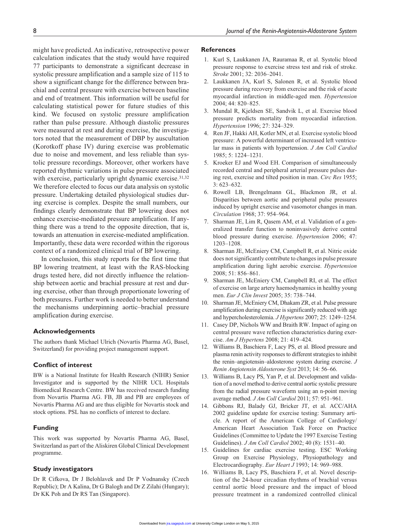might have predicted. An indicative, retrospective power calculation indicates that the study would have required 77 participants to demonstrate a significant decrease in systolic pressure amplification and a sample size of 115 to show a significant change for the difference between brachial and central pressure with exercise between baseline and end of treatment. This information will be useful for calculating statistical power for future studies of this kind. We focused on systolic pressure amplification rather than pulse pressure. Although diastolic pressures were measured at rest and during exercise, the investigators noted that the measurement of DBP by auscultation (Korotkoff phase IV) during exercise was problematic due to noise and movement, and less reliable than systolic pressure recordings. Moreover, other workers have reported rhythmic variations in pulse pressure associated with exercise, particularly upright dynamic exercise.<sup>31,32</sup> We therefore elected to focus our data analysis on systolic pressure. Undertaking detailed physiological studies during exercise is complex. Despite the small numbers, our findings clearly demonstrate that BP lowering does not enhance exercise-mediated pressure amplification. If anything there was a trend to the opposite direction, that is, towards an attenuation in exercise-mediated amplification. Importantly, these data were recorded within the rigorous context of a randomized clinical trial of BP lowering.

In conclusion, this study reports for the first time that BP lowering treatment, at least with the RAS-blocking drugs tested here, did not directly influence the relationship between aortic and brachial pressure at rest and during exercise, other than through proportionate lowering of both pressures. Further work is needed to better understand the mechanisms underpinning aortic–brachial pressure amplification during exercise.

#### **Acknowledgements**

The authors thank Michael Ulrich (Novartis Pharma AG, Basel, Switzerland) for providing project management support.

#### **Conflict of interest**

BW is a National Institute for Health Research (NIHR) Senior Investigator and is supported by the NIHR UCL Hospitals Biomedical Research Centre. BW has received research funding from Novartis Pharma AG. FB, JB and PB are employees of Novartis Pharma AG and are thus eligible for Novartis stock and stock options. PSL has no conflicts of interest to declare.

#### **Funding**

This work was supported by Novartis Pharma AG, Basel, Switzerland as part of the Aliskiren Global Clinical Development programme.

#### **Study investigators**

Dr R Cifkova, Dr J Belohlavek and Dr P Vodnansky (Czech Republic); Dr A Kalina, Dr G Balogh and Dr Z Zilahi (Hungary); Dr KK Poh and Dr RS Tan (Singapore).

### **References**

- 1. Kurl S, Laukkanen JA, Rauramaa R, et al. Systolic blood pressure response to exercise stress test and risk of stroke. *Stroke* 2001; 32: 2036–2041.
- 2. Laukkanen JA, Kurl S, Salonen R, et al. Systolic blood pressure during recovery from exercise and the risk of acute myocardial infarction in middle-aged men. *Hypertension* 2004; 44: 820–825.
- 3. Mundal R, Kjeldsen SE, Sandvik L, et al. Exercise blood pressure predicts mortality from myocardial infarction. *Hypertension* 1996; 27: 324–329.
- 4. Ren JF, Hakki AH, Kotler MN, et al. Exercise systolic blood pressure: A powerful determinant of increased left ventricular mass in patients with hypertension. *J Am Coll Cardiol* 1985; 5: 1224–1231.
- 5. Kroeker EJ and Wood EH. Comparison of simultaneously recorded central and peripheral arterial pressure pulses during rest, exercise and tilted position in man. *Circ Res* 1955; 3: 623–632.
- 6. Rowell LB, Brengelmann GL, Blackmon JR, et al. Disparities between aortic and peripheral pulse pressures induced by upright exercise and vasomotor changes in man. *Circulation* 1968; 37: 954–964.
- 7. Sharman JE, Lim R, Qasem AM, et al. Validation of a generalized transfer function to noninvasively derive central blood pressure during exercise. *Hypertension* 2006; 47: 1203–1208.
- 8. Sharman JE, McEniery CM, Campbell R, et al. Nitric oxide does not significantly contribute to changes in pulse pressure amplification during light aerobic exercise. *Hypertension* 2008; 51: 856–861.
- 9. Sharman JE, McEniery CM, Campbell RI, et al. The effect of exercise on large artery haemodynamics in healthy young men. *Eur J Clin Invest* 2005; 35: 738–744.
- 10. Sharman JE, McEniery CM, Dhakam ZR, et al. Pulse pressure amplification during exercise is significantly reduced with age and hypercholesterolemia. *J Hypertens* 2007; 25: 1249–1254.
- 11. Casey DP, Nichols WW and Braith RW. Impact of aging on central pressure wave reflection characteristics during exercise. *Am J Hypertens* 2008; 21: 419–424.
- 12. Williams B, Baschiera F, Lacy PS, et al. Blood pressure and plasma renin activity responses to different strategies to inhibit the renin–angiotensin–aldosterone system during exercise. *J Renin Angiotensin Aldosterone Syst* 2013; 14: 56–66.
- 13. Williams B, Lacy PS, Yan P, et al. Development and validation of a novel method to derive central aortic systolic pressure from the radial pressure waveform using an n-point moving average method. *J Am Coll Cardiol* 2011; 57: 951–961.
- 14. Gibbons RJ, Balady GJ, Bricker JT, et al. ACC/AHA 2002 guideline update for exercise testing: Summary article. A report of the American College of Cardiology/ American Heart Association Task Force on Practice Guidelines (Committee to Update the 1997 Exercise Testing Guidelines). *J Am Coll Cardiol* 2002; 40 (8): 1531–40.
- 15. Guidelines for cardiac exercise testing. ESC Working Group on Exercise Physiology, Physiopathology and Electrocardiography. *Eur Heart J* 1993; 14: 969–988.
- 16. Williams B, Lacy PS, Baschiera F, et al. Novel description of the 24-hour circadian rhythms of brachial versus central aortic blood pressure and the impact of blood pressure treatment in a randomized controlled clinical